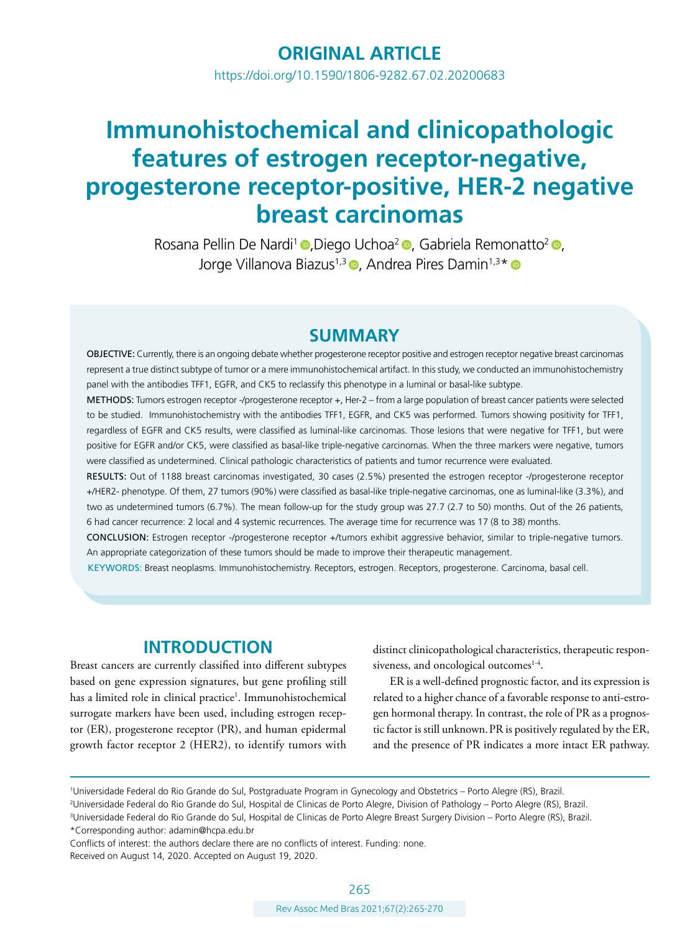# **ORIGINAL ARTICLE**

<https://doi.org/10.1590/1806-9282.67.02.20200683>

# **Immunohistochemical and clinicopathologic features of estrogen receptor-negative, progesterone receptor-positive, HER-2 negative breast carcinomas**

Rosana Pellin De Nardi<sup>1</sup> **.Diego Uchoa<sup>2</sup> [,](https://orcid.org/0000-0003-2431-8622) Gabriela Remonatto<sup>2</sup> ,** Jorge Villanova Biazus<sup>1,3</sup> **D**, Andrea Pires Damin<sup>1,3\*</sup> **D** 

### **SUMMARY**

OBJECTIVE: Currently, there is an ongoing debate whether progesterone receptor positive and estrogen receptor negative breast carcinomas represent a true distinct subtype of tumor or a mere immunohistochemical artifact. In this study, we conducted an immunohistochemistry panel with the antibodies TFF1, EGFR, and CK5 to reclassify this phenotype in a luminal or basal-like subtype.

METHODS: Tumors estrogen receptor -/progesterone receptor +, Her-2 – from a large population of breast cancer patients were selected to be studied. Immunohistochemistry with the antibodies TFF1, EGFR, and CK5 was performed. Tumors showing positivity for TFF1, regardless of EGFR and CK5 results, were classified as luminal-like carcinomas. Those lesions that were negative for TFF1, but were positive for EGFR and/or CK5, were classified as basal-like triple-negative carcinomas. When the three markers were negative, tumors were classified as undetermined. Clinical pathologic characteristics of patients and tumor recurrence were evaluated.

RESULTS: Out of 1188 breast carcinomas investigated, 30 cases (2.5%) presented the estrogen receptor -/progesterone receptor +/HER2- phenotype. Of them, 27 tumors (90%) were classified as basal-like triple-negative carcinomas, one as luminal-like (3.3%), and two as undetermined tumors (6.7%). The mean follow-up for the study group was 27.7 (2.7 to 50) months. Out of the 26 patients, 6 had cancer recurrence: 2 local and 4 systemic recurrences. The average time for recurrence was 17 (8 to 38) months.

CONCLUSION: Estrogen receptor -/progesterone receptor +/tumors exhibit aggressive behavior, similar to triple-negative tumors. An appropriate categorization of these tumors should be made to improve their therapeutic management.

KEYWORDS: Breast neoplasms. Immunohistochemistry. Receptors, estrogen. Receptors, progesterone. Carcinoma, basal cell.

### **INTRODUCTION**

Breast cancers are currently classified into different subtypes based on gene expression signatures, but gene profiling still has a limited role in clinical practice<sup>1</sup>. Immunohistochemical surrogate markers have been used, including estrogen receptor (ER), progesterone receptor (PR), and human epidermal growth factor receptor 2 (HER2), to identify tumors with

distinct clinicopathological characteristics, therapeutic responsiveness, and oncological outcomes $14$ .

ER is a well-defined prognostic factor, and its expression is related to a higher chance of a favorable response to anti-estrogen hormonal therapy. In contrast, the role of PR as a prognostic factor is still unknown.PR is positively regulated by the ER, and the presence of PR indicates a more intact ER pathway.

2 Universidade Federal do Rio Grande do Sul, Hospital de Clinicas de Porto Alegre, Division of Pathology – Porto Alegre (RS), Brazil. 3 Universidade Federal do Rio Grande do Sul, Hospital de Clinicas de Porto Alegre Breast Surgery Division – Porto Alegre (RS), Brazil.

\*Corresponding author: [adamin@hcpa.edu.br](mailto:adamin@hcpa.edu.br)

Conflicts of interest: the authors declare there are no conflicts of interest. Funding: none. Received on August 14, 2020. Accepted on August 19, 2020.

<sup>1</sup> Universidade Federal do Rio Grande do Sul, Postgraduate Program in Gynecology and Obstetrics – Porto Alegre (RS), Brazil.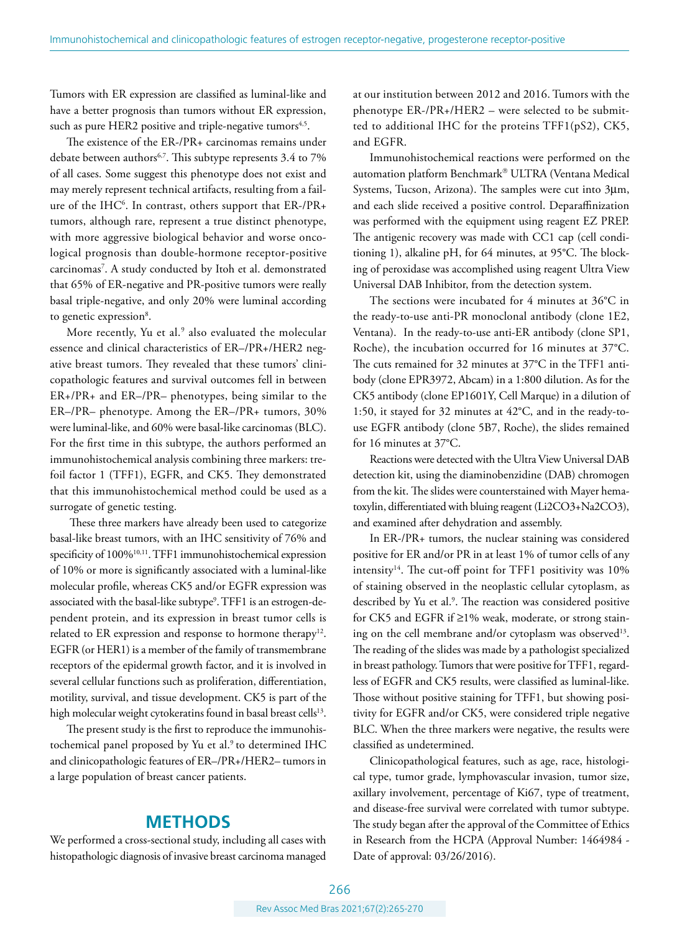Tumors with ER expression are classified as luminal-like and have a better prognosis than tumors without ER expression, such as pure HER2 positive and triple-negative tumors<sup>4,5</sup>.

The existence of the ER-/PR+ carcinomas remains under debate between authors<sup>6,7</sup>. This subtype represents 3.4 to 7% of all cases. Some suggest this phenotype does not exist and may merely represent technical artifacts, resulting from a failure of the IHC6 . In contrast, others support that ER-/PR+ tumors, although rare, represent a true distinct phenotype, with more aggressive biological behavior and worse oncological prognosis than double-hormone receptor-positive carcinomas7 . A study conducted by Itoh et al. demonstrated that 65% of ER-negative and PR-positive tumors were really basal triple-negative, and only 20% were luminal according to genetic expression<sup>8</sup>.

More recently, Yu et al.<sup>9</sup> also evaluated the molecular essence and clinical characteristics of ER–/PR+/HER2 negative breast tumors. They revealed that these tumors' clinicopathologic features and survival outcomes fell in between ER+/PR+ and ER–/PR– phenotypes, being similar to the ER–/PR– phenotype. Among the ER–/PR+ tumors, 30% were luminal-like, and 60% were basal-like carcinomas (BLC). For the first time in this subtype, the authors performed an immunohistochemical analysis combining three markers: trefoil factor 1 (TFF1), EGFR, and CK5. They demonstrated that this immunohistochemical method could be used as a surrogate of genetic testing.

 These three markers have already been used to categorize basal-like breast tumors, with an IHC sensitivity of 76% and specificity of 100%<sup>10,11</sup>. TFF1 immunohistochemical expression of 10% or more is significantly associated with a luminal-like molecular profile, whereas CK5 and/or EGFR expression was associated with the basal-like subtype $^{\circ}$ . TFF1 is an estrogen-dependent protein, and its expression in breast tumor cells is related to ER expression and response to hormone therapy<sup>12</sup>. EGFR (or HER1) is a member of the family of transmembrane receptors of the epidermal growth factor, and it is involved in several cellular functions such as proliferation, differentiation, motility, survival, and tissue development. CK5 is part of the high molecular weight cytokeratins found in basal breast cells<sup>13</sup>.

The present study is the first to reproduce the immunohistochemical panel proposed by Yu et al.<sup>9</sup> to determined IHC and clinicopathologic features of ER–/PR+/HER2– tumors in a large population of breast cancer patients.

### **METHODS**

We performed a cross-sectional study, including all cases with histopathologic diagnosis of invasive breast carcinoma managed at our institution between 2012 and 2016. Tumors with the phenotype ER-/PR+/HER2 – were selected to be submitted to additional IHC for the proteins TFF1(pS2), CK5, and EGFR.

Immunohistochemical reactions were performed on the automation platform Benchmark® ULTRA (Ventana Medical Systems, Tucson, Arizona). The samples were cut into 3μm, and each slide received a positive control. Deparaffinization was performed with the equipment using reagent EZ PREP. The antigenic recovery was made with CC1 cap (cell conditioning 1), alkaline pH, for 64 minutes, at 95°C. The blocking of peroxidase was accomplished using reagent Ultra View Universal DAB Inhibitor, from the detection system.

The sections were incubated for 4 minutes at 36°C in the ready-to-use anti-PR monoclonal antibody (clone 1E2, Ventana). In the ready-to-use anti-ER antibody (clone SP1, Roche), the incubation occurred for 16 minutes at 37°C. The cuts remained for 32 minutes at 37°C in the TFF1 antibody (clone EPR3972, Abcam) in a 1:800 dilution. As for the CK5 antibody (clone EP1601Y, Cell Marque) in a dilution of 1:50, it stayed for 32 minutes at 42°C, and in the ready-touse EGFR antibody (clone 5B7, Roche), the slides remained for 16 minutes at 37°C.

Reactions were detected with the Ultra View Universal DAB detection kit, using the diaminobenzidine (DAB) chromogen from the kit. The slides were counterstained with Mayer hematoxylin, differentiated with bluing reagent (Li2CO3+Na2CO3), and examined after dehydration and assembly.

In ER-/PR+ tumors, the nuclear staining was considered positive for ER and/or PR in at least 1% of tumor cells of any intensity<sup>14</sup>. The cut-off point for TFF1 positivity was  $10\%$ of staining observed in the neoplastic cellular cytoplasm, as described by Yu et al.<sup>9</sup>. The reaction was considered positive for CK5 and EGFR if ≥1% weak, moderate, or strong staining on the cell membrane and/or cytoplasm was observed<sup>13</sup>. The reading of the slides was made by a pathologist specialized in breast pathology. Tumors that were positive for TFF1, regardless of EGFR and CK5 results, were classified as luminal-like. Those without positive staining for TFF1, but showing positivity for EGFR and/or CK5, were considered triple negative BLC. When the three markers were negative, the results were classified as undetermined.

Clinicopathological features, such as age, race, histological type, tumor grade, lymphovascular invasion, tumor size, axillary involvement, percentage of Ki67, type of treatment, and disease-free survival were correlated with tumor subtype. The study began after the approval of the Committee of Ethics in Research from the HCPA (Approval Number: 1464984 - Date of approval: 03/26/2016).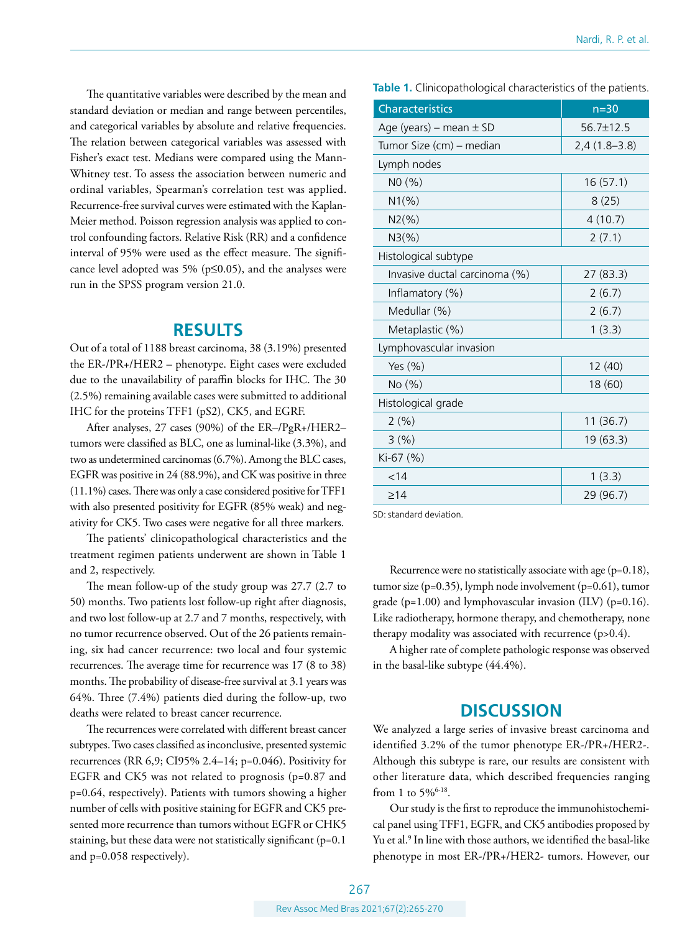The quantitative variables were described by the mean and standard deviation or median and range between percentiles, and categorical variables by absolute and relative frequencies. The relation between categorical variables was assessed with Fisher's exact test. Medians were compared using the Mann-Whitney test. To assess the association between numeric and ordinal variables, Spearman's correlation test was applied. Recurrence-free survival curves were estimated with the Kaplan-Meier method. Poisson regression analysis was applied to control confounding factors. Relative Risk (RR) and a confidence interval of 95% were used as the effect measure. The significance level adopted was 5% ( $p \le 0.05$ ), and the analyses were run in the SPSS program version 21.0.

#### **RESULTS**

Out of a total of 1188 breast carcinoma, 38 (3.19%) presented the ER-/PR+/HER2 – phenotype. Eight cases were excluded due to the unavailability of paraffin blocks for IHC. The 30 (2.5%) remaining available cases were submitted to additional IHC for the proteins TFF1 (pS2), CK5, and EGRF.

After analyses, 27 cases (90%) of the ER–/PgR+/HER2– tumors were classified as BLC, one as luminal-like (3.3%), and two as undetermined carcinomas (6.7%). Among the BLC cases, EGFR was positive in 24 (88.9%), and CK was positive in three (11.1%) cases. There was only a case considered positive for TFF1 with also presented positivity for EGFR (85% weak) and negativity for CK5. Two cases were negative for all three markers.

The patients' clinicopathological characteristics and the treatment regimen patients underwent are shown in Table 1 and 2, respectively.

The mean follow-up of the study group was 27.7 (2.7 to 50) months. Two patients lost follow-up right after diagnosis, and two lost follow-up at 2.7 and 7 months, respectively, with no tumor recurrence observed. Out of the 26 patients remaining, six had cancer recurrence: two local and four systemic recurrences. The average time for recurrence was 17 (8 to 38) months. The probability of disease-free survival at 3.1 years was 64%. Three (7.4%) patients died during the follow-up, two deaths were related to breast cancer recurrence.

The recurrences were correlated with different breast cancer subtypes. Two cases classified as inconclusive, presented systemic recurrences (RR 6,9; CI95% 2.4–14; p=0.046). Positivity for EGFR and CK5 was not related to prognosis (p=0.87 and p=0.64, respectively). Patients with tumors showing a higher number of cells with positive staining for EGFR and CK5 presented more recurrence than tumors without EGFR or CHK5 staining, but these data were not statistically significant (p=0.1) and p=0.058 respectively).

**Table 1.** Clinicopathological characteristics of the patients.

| <b>Characteristics</b>        | $n=30$         |
|-------------------------------|----------------|
| Age (years) – mean $\pm$ SD   | 56.7±12.5      |
| Tumor Size (cm) - median      | $2,4(1.8-3.8)$ |
| Lymph nodes                   |                |
| NO (%)                        | 16(57.1)       |
| $N1(\%)$                      | 8(25)          |
| $N2(\%)$                      | 4(10.7)        |
| $N3(\%)$                      | 2(7.1)         |
| Histological subtype          |                |
| Invasive ductal carcinoma (%) | 27(83.3)       |
| Inflamatory (%)               | 2(6.7)         |
| Medullar (%)                  | 2(6.7)         |
| Metaplastic (%)               | 1(3.3)         |
| Lymphovascular invasion       |                |
| Yes $(\% )$                   | 12 (40)        |
| No(%)                         | 18 (60)        |
| Histological grade            |                |
| 2(%)                          | 11 (36.7)      |
| 3(%)                          | 19 (63.3)      |
| Ki-67 (%)                     |                |
| < 14                          | 1(3.3)         |
| $\geq$ 14                     | 29 (96.7)      |

SD: standard deviation.

Recurrence were no statistically associate with age (p=0.18), tumor size (p=0.35), lymph node involvement (p=0.61), tumor grade ( $p=1.00$ ) and lymphovascular invasion (ILV) ( $p=0.16$ ). Like radiotherapy, hormone therapy, and chemotherapy, none therapy modality was associated with recurrence (p>0.4).

A higher rate of complete pathologic response was observed in the basal-like subtype (44.4%).

### **DISCUSSION**

We analyzed a large series of invasive breast carcinoma and identified 3.2% of the tumor phenotype ER-/PR+/HER2-. Although this subtype is rare, our results are consistent with other literature data, which described frequencies ranging from 1 to 5%<sup>6-18</sup>.

Our study is the first to reproduce the immunohistochemical panel using TFF1, EGFR, and CK5 antibodies proposed by Yu et al.<sup>9</sup> In line with those authors, we identified the basal-like phenotype in most ER-/PR+/HER2- tumors. However, our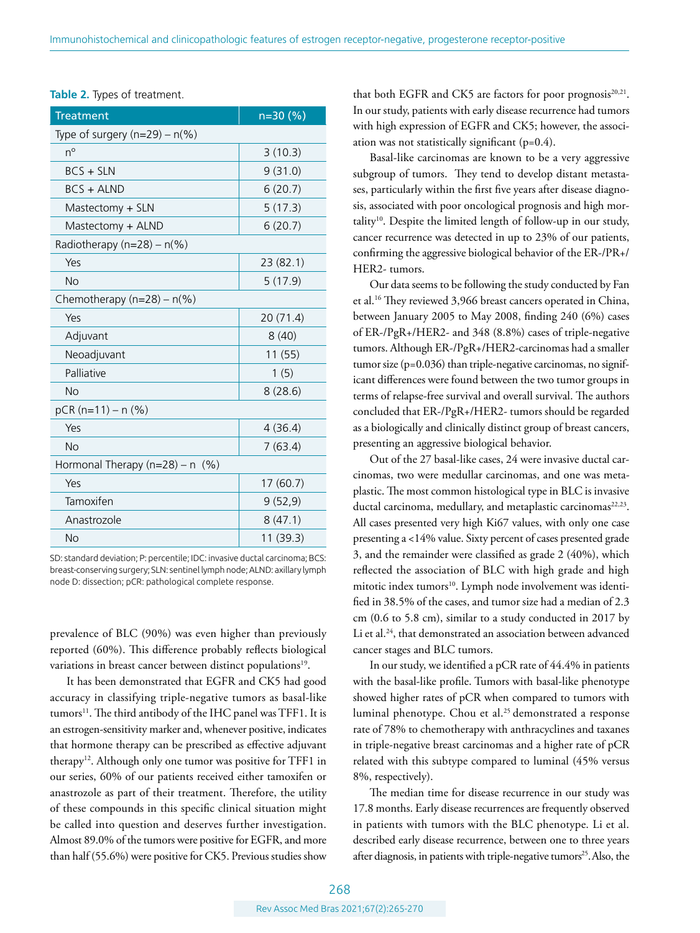| Type of surgery $(n=29) - n\frac{9}{6})$<br>$n^{\circ}$<br>3(10.3)<br>$BCS + SLN$<br>9(31.0)<br>$BCS + ALND$<br>6(20.7)<br>Mastectomy + SLN<br>5(17.3)<br>6(20.7)<br>Mastectomy + ALND<br>Radiotherapy ( $n=28$ ) – $n(\%)$<br>Yes<br>23 (82.1)<br><b>No</b><br>5(17.9)<br>Chemotherapy $(n=28) - n\frac{6}{6}$<br>Yes<br>20(71.4)<br>Adjuvant<br>8(40)<br>Neoadjuvant<br>11(55)<br>Palliative<br>1(5)<br><b>No</b><br>8(28.6)<br>$pCR(n=11) - n(%)$<br>Yes<br>4(36.4)<br><b>No</b><br>7(63.4)<br>Hormonal Therapy $(n=28) - n$ (%)<br>Yes<br>17(60.7)<br>Tamoxifen<br>9(52, 9)<br>8(47.1)<br>Anastrozole<br>11 (39.3)<br><b>No</b> | <b>Treatment</b> | n=30 (%) |
|-------------------------------------------------------------------------------------------------------------------------------------------------------------------------------------------------------------------------------------------------------------------------------------------------------------------------------------------------------------------------------------------------------------------------------------------------------------------------------------------------------------------------------------------------------------------------------------------------------------------------------------|------------------|----------|
|                                                                                                                                                                                                                                                                                                                                                                                                                                                                                                                                                                                                                                     |                  |          |
|                                                                                                                                                                                                                                                                                                                                                                                                                                                                                                                                                                                                                                     |                  |          |
|                                                                                                                                                                                                                                                                                                                                                                                                                                                                                                                                                                                                                                     |                  |          |
|                                                                                                                                                                                                                                                                                                                                                                                                                                                                                                                                                                                                                                     |                  |          |
|                                                                                                                                                                                                                                                                                                                                                                                                                                                                                                                                                                                                                                     |                  |          |
|                                                                                                                                                                                                                                                                                                                                                                                                                                                                                                                                                                                                                                     |                  |          |
|                                                                                                                                                                                                                                                                                                                                                                                                                                                                                                                                                                                                                                     |                  |          |
|                                                                                                                                                                                                                                                                                                                                                                                                                                                                                                                                                                                                                                     |                  |          |
|                                                                                                                                                                                                                                                                                                                                                                                                                                                                                                                                                                                                                                     |                  |          |
|                                                                                                                                                                                                                                                                                                                                                                                                                                                                                                                                                                                                                                     |                  |          |
|                                                                                                                                                                                                                                                                                                                                                                                                                                                                                                                                                                                                                                     |                  |          |
|                                                                                                                                                                                                                                                                                                                                                                                                                                                                                                                                                                                                                                     |                  |          |
|                                                                                                                                                                                                                                                                                                                                                                                                                                                                                                                                                                                                                                     |                  |          |
|                                                                                                                                                                                                                                                                                                                                                                                                                                                                                                                                                                                                                                     |                  |          |
|                                                                                                                                                                                                                                                                                                                                                                                                                                                                                                                                                                                                                                     |                  |          |
|                                                                                                                                                                                                                                                                                                                                                                                                                                                                                                                                                                                                                                     |                  |          |
|                                                                                                                                                                                                                                                                                                                                                                                                                                                                                                                                                                                                                                     |                  |          |
|                                                                                                                                                                                                                                                                                                                                                                                                                                                                                                                                                                                                                                     |                  |          |
|                                                                                                                                                                                                                                                                                                                                                                                                                                                                                                                                                                                                                                     |                  |          |
|                                                                                                                                                                                                                                                                                                                                                                                                                                                                                                                                                                                                                                     |                  |          |
|                                                                                                                                                                                                                                                                                                                                                                                                                                                                                                                                                                                                                                     |                  |          |
|                                                                                                                                                                                                                                                                                                                                                                                                                                                                                                                                                                                                                                     |                  |          |
|                                                                                                                                                                                                                                                                                                                                                                                                                                                                                                                                                                                                                                     |                  |          |

**Table 2.** Types of treatment.

SD: standard deviation; P: percentile; IDC: invasive ductal carcinoma; BCS: breast-conserving surgery; SLN: sentinel lymph node; ALND: axillary lymph node D: dissection; pCR: pathological complete response.

prevalence of BLC (90%) was even higher than previously reported (60%). This difference probably reflects biological variations in breast cancer between distinct populations<sup>19</sup>.

It has been demonstrated that EGFR and CK5 had good accuracy in classifying triple-negative tumors as basal-like tumors<sup>11</sup>. The third antibody of the IHC panel was TFF1. It is an estrogen-sensitivity marker and, whenever positive, indicates that hormone therapy can be prescribed as effective adjuvant therapy<sup>12</sup>. Although only one tumor was positive for TFF1 in our series, 60% of our patients received either tamoxifen or anastrozole as part of their treatment. Therefore, the utility of these compounds in this specific clinical situation might be called into question and deserves further investigation. Almost 89.0% of the tumors were positive for EGFR, and more than half (55.6%) were positive for CK5. Previous studies show

that both EGFR and CK5 are factors for poor prognosis $20,21$ . In our study, patients with early disease recurrence had tumors with high expression of EGFR and CK5; however, the association was not statistically significant  $(p=0.4)$ .

Basal-like carcinomas are known to be a very aggressive subgroup of tumors. They tend to develop distant metastases, particularly within the first five years after disease diagnosis, associated with poor oncological prognosis and high mortality10. Despite the limited length of follow-up in our study, cancer recurrence was detected in up to 23% of our patients, confirming the aggressive biological behavior of the ER-/PR+/ HER2- tumors.

Our data seems to be following the study conducted by Fan et al.16 They reviewed 3,966 breast cancers operated in China, between January 2005 to May 2008, finding 240 (6%) cases of ER-/PgR+/HER2- and 348 (8.8%) cases of triple-negative tumors. Although ER-/PgR+/HER2-carcinomas had a smaller tumor size (p=0.036) than triple-negative carcinomas, no significant differences were found between the two tumor groups in terms of relapse-free survival and overall survival. The authors concluded that ER-/PgR+/HER2- tumors should be regarded as a biologically and clinically distinct group of breast cancers, presenting an aggressive biological behavior.

Out of the 27 basal-like cases, 24 were invasive ductal carcinomas, two were medullar carcinomas, and one was metaplastic. The most common histological type in BLC is invasive ductal carcinoma, medullary, and metaplastic carcinomas<sup>22,23</sup>. All cases presented very high Ki67 values, with only one case presenting a <14% value. Sixty percent of cases presented grade 3, and the remainder were classified as grade 2 (40%), which reflected the association of BLC with high grade and high mitotic index tumors<sup>10</sup>. Lymph node involvement was identified in 38.5% of the cases, and tumor size had a median of 2.3 cm (0.6 to 5.8 cm), similar to a study conducted in 2017 by Li et al.<sup>24</sup>, that demonstrated an association between advanced cancer stages and BLC tumors.

In our study, we identified a pCR rate of 44.4% in patients with the basal-like profile. Tumors with basal-like phenotype showed higher rates of pCR when compared to tumors with luminal phenotype. Chou et al.<sup>25</sup> demonstrated a response rate of 78% to chemotherapy with anthracyclines and taxanes in triple-negative breast carcinomas and a higher rate of pCR related with this subtype compared to luminal (45% versus 8%, respectively).

The median time for disease recurrence in our study was 17.8 months. Early disease recurrences are frequently observed in patients with tumors with the BLC phenotype. Li et al. described early disease recurrence, between one to three years after diagnosis, in patients with triple-negative tumors<sup>25</sup>. Also, the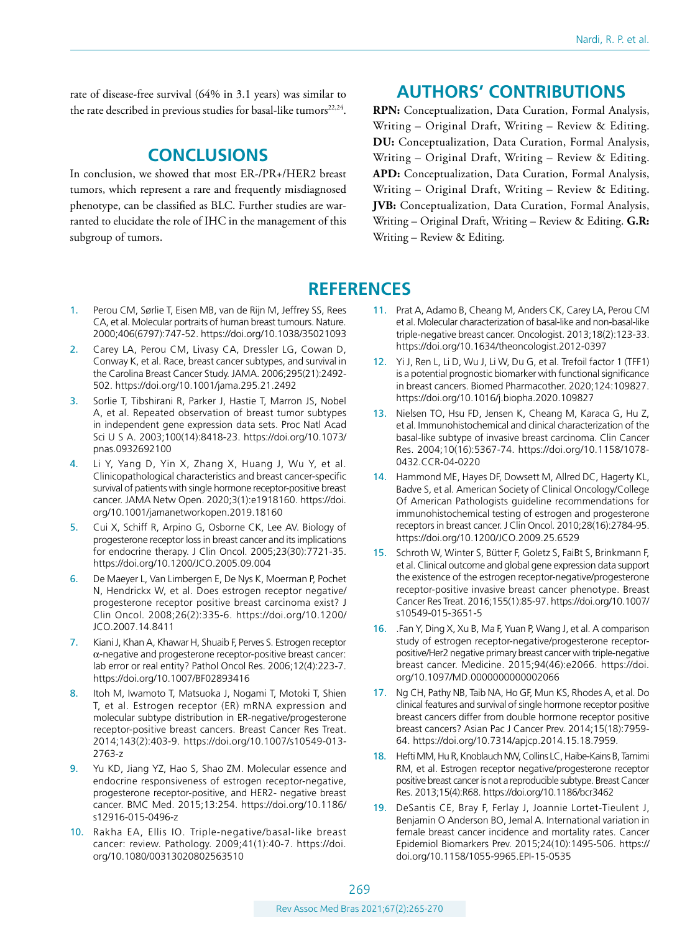rate of disease-free survival (64% in 3.1 years) was similar to the rate described in previous studies for basal-like tumors<sup>22,24</sup>.

### **CONCLUSIONS**

In conclusion, we showed that most ER-/PR+/HER2 breast tumors, which represent a rare and frequently misdiagnosed phenotype, can be classified as BLC. Further studies are warranted to elucidate the role of IHC in the management of this subgroup of tumors.

# **AUTHORS' CONTRIBUTIONS**

**RPN:** Conceptualization, Data Curation, Formal Analysis, Writing – Original Draft, Writing – Review & Editing. **DU:** Conceptualization, Data Curation, Formal Analysis, Writing – Original Draft, Writing – Review & Editing. **APD:** Conceptualization, Data Curation, Formal Analysis, Writing – Original Draft, Writing – Review & Editing. **JVB:** Conceptualization, Data Curation, Formal Analysis, Writing – Original Draft, Writing – Review & Editing. **G.R:**  Writing – Review & Editing.

# **REFERENCES**

- 1. Perou CM, Sørlie T, Eisen MB, van de Rijn M, Jeffrey SS, Rees CA, et al. Molecular portraits of human breast tumours. Nature. 2000;406(6797):747-52.<https://doi.org/10.1038/35021093>
- 2. Carey LA, Perou CM, Livasy CA, Dressler LG, Cowan D, Conway K, et al. Race, breast cancer subtypes, and survival in the Carolina Breast Cancer Study. JAMA. 2006;295(21):2492- 502.<https://doi.org/10.1001/jama.295.21.2492>
- 3. Sorlie T, Tibshirani R, Parker J, Hastie T, Marron JS, Nobel A, et al. Repeated observation of breast tumor subtypes in independent gene expression data sets. Proc Natl Acad Sci U S A. 2003;100(14):8418-23. [https://doi.org/10.1073/](https://doi.org/﻿10.1073/pnas.0932692100) [pnas.0932692100](https://doi.org/﻿10.1073/pnas.0932692100)
- 4. Li Y, Yang D, Yin X, Zhang X, Huang J, Wu Y, et al. Clinicopathological characteristics and breast cancer-specific survival of patients with single hormone receptor-positive breast cancer. JAMA Netw Open. 2020;3(1):e1918160. [https://doi.](https://doi.org/10.1001/jamanetworkopen.2019.18160) [org/10.1001/jamanetworkopen.2019.18160](https://doi.org/10.1001/jamanetworkopen.2019.18160)
- 5. Cui X, Schiff R, Arpino G, Osborne CK, Lee AV. Biology of progesterone receptor loss in breast cancer and its implications for endocrine therapy. J Clin Oncol. 2005;23(30):7721-35. <https://doi.org/10.1200/JCO.2005.09.004>
- 6. De Maeyer L, Van Limbergen E, De Nys K, Moerman P, Pochet N, Hendrickx W, et al. Does estrogen receptor negative/ progesterone receptor positive breast carcinoma exist? J Clin Oncol. 2008;26(2):335-6. [https://doi.org/10.1200/](https://doi.org/10.1200/JCO.2007.14.8411) [JCO.2007.14.8411](https://doi.org/10.1200/JCO.2007.14.8411)
- 7. Kiani J, Khan A, Khawar H, Shuaib F, Perves S. Estrogen receptor α-negative and progesterone receptor-positive breast cancer: lab error or real entity? Pathol Oncol Res. 2006;12(4):223-7. <https://doi.org/10.1007/BF02893416>
- 8. Itoh M, Iwamoto T, Matsuoka J, Nogami T, Motoki T, Shien T, et al. Estrogen receptor (ER) mRNA expression and molecular subtype distribution in ER-negative/progesterone receptor-positive breast cancers. Breast Cancer Res Treat. 2014;143(2):403-9. [https://doi.org/10.1007/s10549-013-](https://doi.org/10.1007/s10549-013-2763-z) [2763-z](https://doi.org/10.1007/s10549-013-2763-z)
- 9. Yu KD, Jiang YZ, Hao S, Shao ZM. Molecular essence and endocrine responsiveness of estrogen receptor-negative, progesterone receptor-positive, and HER2- negative breast cancer. BMC Med. 2015;13:254. [https://doi.org/10.1186/](https://doi.org/10.1186/s12916-015-0496-z) [s12916-015-0496-z](https://doi.org/10.1186/s12916-015-0496-z)
- 10. Rakha EA, Ellis IO. Triple-negative/basal-like breast cancer: review. Pathology. 2009;41(1):40-7. [https://doi.](https://doi.org/1﻿0.1080/00313020802563510) [org/10.1080/00313020802563510](https://doi.org/1﻿0.1080/00313020802563510)
- 11. Prat A, Adamo B, Cheang M, Anders CK, Carey LA, Perou CM et al. Molecular characterization of basal-like and non-basal-like triple-negative breast cancer. Oncologist. 2013;18(2):123-33. <https://doi.org/10.1634/theoncologist.2012-0397>
- 12. Yi J, Ren L, Li D, Wu J, Li W, Du G, et al. Trefoil factor 1 (TFF1) is a potential prognostic biomarker with functional significance in breast cancers. Biomed Pharmacother. 2020;124:109827. <https://doi.org/10.1016/j.biopha.2020.109827>
- 13. Nielsen TO, Hsu FD, Jensen K, Cheang M, Karaca G, Hu Z, et al. Immunohistochemical and clinical characterization of the basal-like subtype of invasive breast carcinoma. Clin Cancer Res. 2004;10(16):5367-74. [https://doi.org/10.1158/1078-](https://doi.org/10.1158/1078-0432.CCR-04-0220) [0432.CCR-04-0220](https://doi.org/10.1158/1078-0432.CCR-04-0220)
- 14. Hammond ME, Hayes DF, Dowsett M, Allred DC, Hagerty KL, Badve S, et al. American Society of Clinical Oncology/College Of American Pathologists guideline recommendations for immunohistochemical testing of estrogen and progesterone receptors in breast cancer. J Clin Oncol. 2010;28(16):2784-95. <https://doi.org/10.1200/JCO.2009.25.6529>
- 15. Schroth W, Winter S, Bütter F, Goletz S, FaiBt S, Brinkmann F, et al. Clinical outcome and global gene expression data support the existence of the estrogen receptor-negative/progesterone receptor-positive invasive breast cancer phenotype. Breast Cancer Res Treat. 2016;155(1):85-97. [https://doi.org/10.1007/](https://doi.org/10.1007/s10549-015-3651-5) [s10549-015-3651-5](https://doi.org/10.1007/s10549-015-3651-5)
- 16. .Fan Y, Ding X, Xu B, Ma F, Yuan P, Wang J, et al. A comparison study of estrogen receptor-negative/progesterone receptorpositive/Her2 negative primary breast cancer with triple-negative breast cancer. Medicine. 2015;94(46):e2066. [https://doi.](https://doi.org/10.1097/MD.0000000000002066) [org/10.1097/MD.0000000000002066](https://doi.org/10.1097/MD.0000000000002066)
- 17. Ng CH, Pathy NB, Taib NA, Ho GF, Mun KS, Rhodes A, et al. Do clinical features and survival of single hormone receptor positive breast cancers differ from double hormone receptor positive breast cancers? Asian Pac J Cancer Prev. 2014;15(18):7959- 64. [https://doi.org/10.7314/apjcp.2014.15.18.7959.](https://doi.org/10.7314/apjcp.2014.15.18.7959)
- 18. Hefti MM, Hu R, Knoblauch NW, Collins LC, Haibe-Kains B, Tamimi RM, et al. Estrogen receptor negative/progesterone receptor positive breast cancer is not a reproducible subtype. Breast Cancer Res. 2013;15(4):R68.<https://doi.org/10.1186/bcr3462>
- 19. DeSantis CE, Bray F, Ferlay J, Joannie Lortet-Tieulent J, Benjamin O Anderson BO, Jemal A. International variation in female breast cancer incidence and mortality rates. Cancer Epidemiol Biomarkers Prev. 2015;24(10):1495-506. [https://](https://doi.org/10.1158/1055-9965.EPI-15-0535) [doi.org/10.1158/1055-9965.EPI-15-0535](https://doi.org/10.1158/1055-9965.EPI-15-0535)